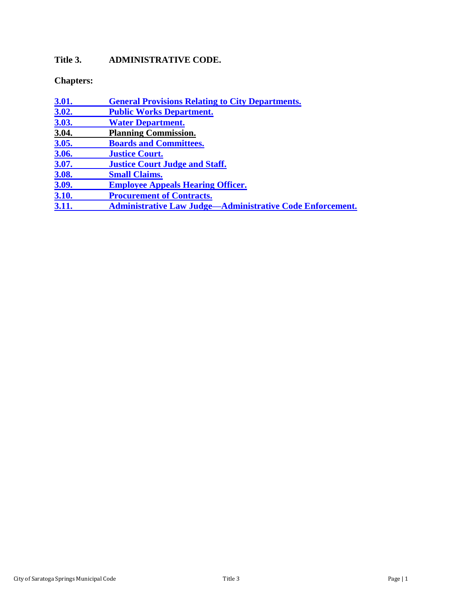# **Title 3. ADMINISTRATIVE CODE.**

**Chapters:** 

<span id="page-0-0"></span>

| 3.01.        | <b>General Provisions Relating to City Departments.</b>          |
|--------------|------------------------------------------------------------------|
| 3.02.        | <b>Public Works Department.</b>                                  |
| <b>3.03.</b> | <b>Water Department.</b>                                         |
| 3.04.        | <b>Planning Commission.</b>                                      |
| 3.05.        | <b>Boards and Committees.</b>                                    |
| 3.06.        | <b>Justice Court.</b>                                            |
| 3.07.        | <b>Justice Court Judge and Staff.</b>                            |
| 3.08.        | <b>Small Claims.</b>                                             |
| 3.09.        | <b>Employee Appeals Hearing Officer.</b>                         |
| 3.10.        | <b>Procurement of Contracts.</b>                                 |
| 3.11.        | <b>Administrative Law Judge—Administrative Code Enforcement.</b> |
|              |                                                                  |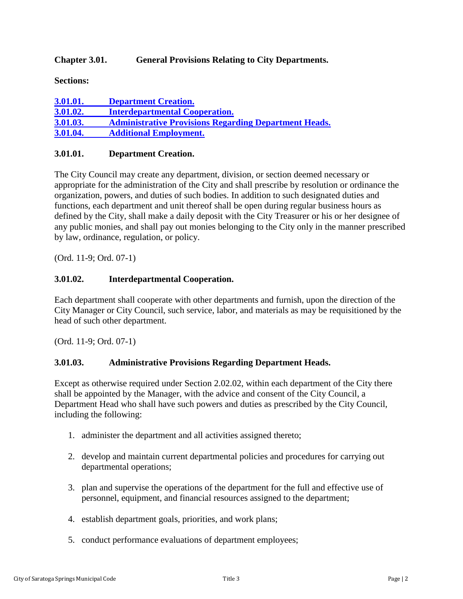## **Chapter 3.01. General Provisions Relating to City Departments.**

**Sections:**

| 3.01.01. | <b>Department Creation.</b>                                  |
|----------|--------------------------------------------------------------|
| 3.01.02. | <b>Interdepartmental Cooperation.</b>                        |
| 3.01.03. | <b>Administrative Provisions Regarding Department Heads.</b> |
| 3.01.04. | <b>Additional Employment.</b>                                |

### <span id="page-1-0"></span>**3.01.01. Department Creation.**

The City Council may create any department, division, or section deemed necessary or appropriate for the administration of the City and shall prescribe by resolution or ordinance the organization, powers, and duties of such bodies. In addition to such designated duties and functions, each department and unit thereof shall be open during regular business hours as defined by the City, shall make a daily deposit with the City Treasurer or his or her designee of any public monies, and shall pay out monies belonging to the City only in the manner prescribed by law, ordinance, regulation, or policy.

(Ord. 11-9; Ord. 07-1)

## <span id="page-1-1"></span>**3.01.02. Interdepartmental Cooperation.**

Each department shall cooperate with other departments and furnish, upon the direction of the City Manager or City Council, such service, labor, and materials as may be requisitioned by the head of such other department.

(Ord. 11-9; Ord. 07-1)

### <span id="page-1-2"></span>**3.01.03. Administrative Provisions Regarding Department Heads.**

Except as otherwise required under Section 2.02.02, within each department of the City there shall be appointed by the Manager, with the advice and consent of the City Council, a Department Head who shall have such powers and duties as prescribed by the City Council, including the following:

- 1. administer the department and all activities assigned thereto;
- 2. develop and maintain current departmental policies and procedures for carrying out departmental operations;
- 3. plan and supervise the operations of the department for the full and effective use of personnel, equipment, and financial resources assigned to the department;
- 4. establish department goals, priorities, and work plans;
- 5. conduct performance evaluations of department employees;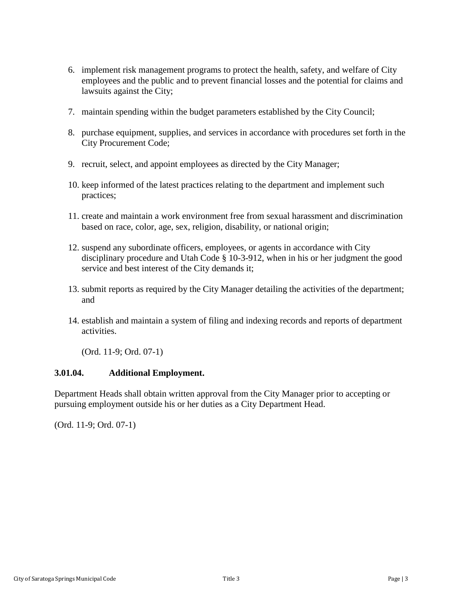- 6. implement risk management programs to protect the health, safety, and welfare of City employees and the public and to prevent financial losses and the potential for claims and lawsuits against the City;
- 7. maintain spending within the budget parameters established by the City Council;
- 8. purchase equipment, supplies, and services in accordance with procedures set forth in the City Procurement Code;
- 9. recruit, select, and appoint employees as directed by the City Manager;
- 10. keep informed of the latest practices relating to the department and implement such practices;
- 11. create and maintain a work environment free from sexual harassment and discrimination based on race, color, age, sex, religion, disability, or national origin;
- 12. suspend any subordinate officers, employees, or agents in accordance with City disciplinary procedure and Utah Code § 10-3-912, when in his or her judgment the good service and best interest of the City demands it;
- 13. submit reports as required by the City Manager detailing the activities of the department; and
- 14. establish and maintain a system of filing and indexing records and reports of department activities.

(Ord. 11-9; Ord. 07-1)

### <span id="page-2-1"></span>**3.01.04. Additional Employment.**

<span id="page-2-0"></span>Department Heads shall obtain written approval from the City Manager prior to accepting or pursuing employment outside his or her duties as a City Department Head.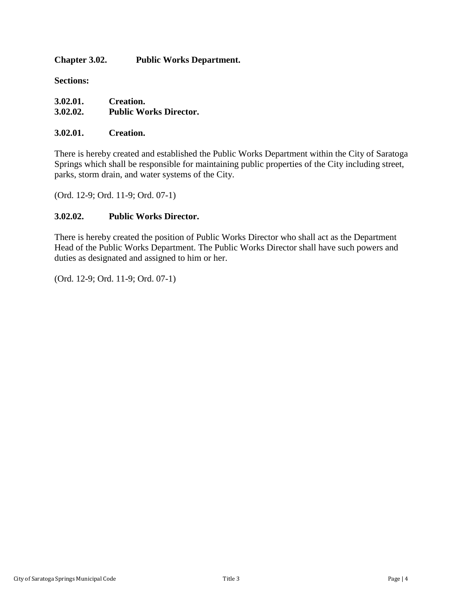**Chapter 3.02. Public Works Department.**

**Sections:**

| 3.02.01. | Creation.                     |
|----------|-------------------------------|
| 3.02.02. | <b>Public Works Director.</b> |

#### **3.02.01. Creation.**

There is hereby created and established the Public Works Department within the City of Saratoga Springs which shall be responsible for maintaining public properties of the City including street, parks, storm drain, and water systems of the City.

(Ord. 12-9; Ord. 11-9; Ord. 07-1)

### **3.02.02. Public Works Director.**

There is hereby created the position of Public Works Director who shall act as the Department Head of the Public Works Department. The Public Works Director shall have such powers and duties as designated and assigned to him or her.

(Ord. 12-9; Ord. 11-9; Ord. 07-1)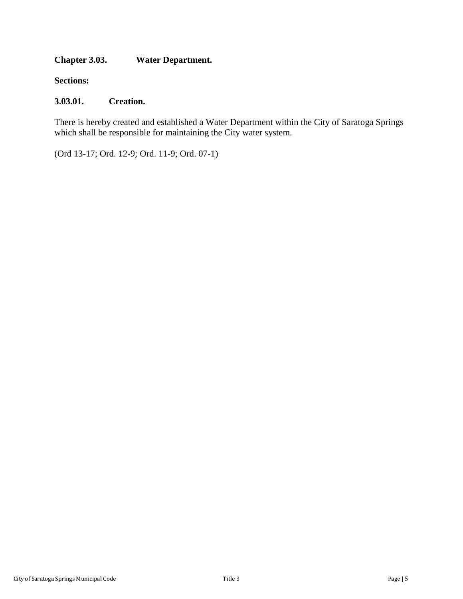## <span id="page-4-0"></span>**Chapter 3.03. Water Department.**

**Sections:**

## **3.03.01. Creation.**

There is hereby created and established a Water Department within the City of Saratoga Springs which shall be responsible for maintaining the City water system.

(Ord 13-17; Ord. 12-9; Ord. 11-9; Ord. 07-1)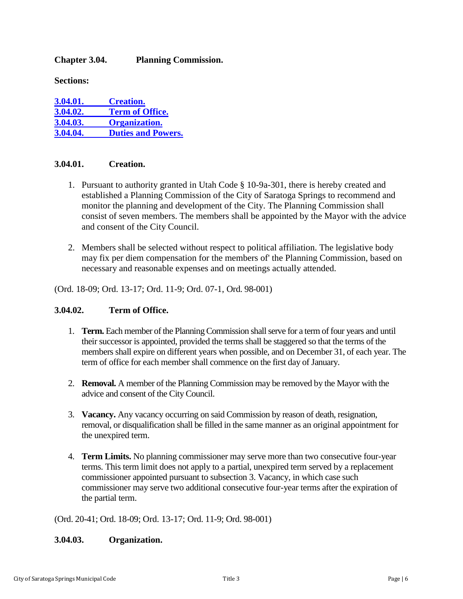## <span id="page-5-0"></span>**Chapter 3.04. Planning Commission.**

**Sections:**

| 3.04.01. | <b>Creation.</b>          |
|----------|---------------------------|
| 3.04.02. | <b>Term of Office.</b>    |
| 3.04.03. | <b>Organization.</b>      |
| 3.04.04. | <b>Duties and Powers.</b> |

## <span id="page-5-1"></span>**3.04.01. Creation.**

- 1. Pursuant to authority granted in Utah Code § 10-9a-301, there is hereby created and established a Planning Commission of the City of Saratoga Springs to recommend and monitor the planning and development of the City. The Planning Commission shall consist of seven members. The members shall be appointed by the Mayor with the advice and consent of the City Council.
- 2. Members shall be selected without respect to political affiliation. The legislative body may fix per diem compensation for the members of' the Planning Commission, based on necessary and reasonable expenses and on meetings actually attended.

(Ord. 18-09; Ord. 13-17; Ord. 11-9; Ord. 07-1, Ord. 98-001)

### <span id="page-5-2"></span>**3.04.02. Term of Office.**

- 1. **Term.** Each member of the Planning Commission shall serve for a term of four years and until their successor is appointed, provided the terms shall be staggered so that the terms of the members shall expire on different years when possible, and on December 31, of each year. The term of office for each member shall commence on the first day of January.
- 2. **Removal.** A member of the Planning Commission may be removed by the Mayor with the advice and consent of the City Council.
- 3. **Vacancy.** Any vacancy occurring on said Commission by reason of death, resignation, removal, or disqualification shall be filled in the same manner as an original appointment for the unexpired term.
- 4. **Term Limits.** No planning commissioner may serve more than two consecutive four-year terms. This term limit does not apply to a partial, unexpired term served by a replacement commissioner appointed pursuant to subsection 3. Vacancy, in which case such commissioner may serve two additional consecutive four-year terms after the expiration of the partial term.

(Ord. 20-41; Ord. 18-09; Ord. 13-17; Ord. 11-9; Ord. 98-001)

### <span id="page-5-3"></span>**3.04.03. Organization.**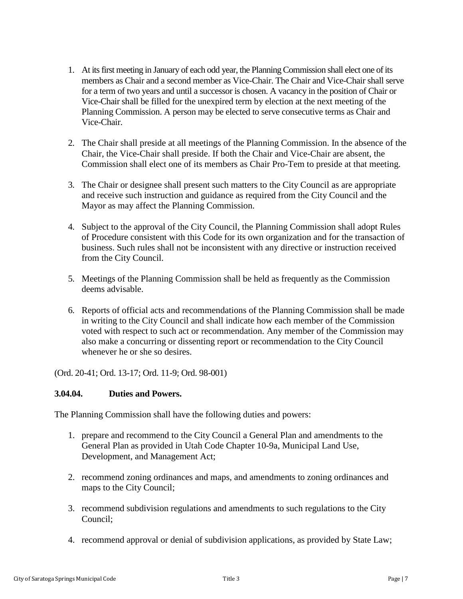- 1. At its first meeting in January of each odd year, the Planning Commission shall elect one of its members as Chair and a second member as Vice-Chair. The Chair and Vice-Chair shall serve for a term of two years and until a successor is chosen. A vacancy in the position of Chair or Vice-Chair shall be filled for the unexpired term by election at the next meeting of the Planning Commission. A person may be elected to serve consecutive terms as Chair and Vice-Chair.
- 2. The Chair shall preside at all meetings of the Planning Commission. In the absence of the Chair, the Vice-Chair shall preside. If both the Chair and Vice-Chair are absent, the Commission shall elect one of its members as Chair Pro-Tem to preside at that meeting.
- 3. The Chair or designee shall present such matters to the City Council as are appropriate and receive such instruction and guidance as required from the City Council and the Mayor as may affect the Planning Commission.
- 4. Subject to the approval of the City Council, the Planning Commission shall adopt Rules of Procedure consistent with this Code for its own organization and for the transaction of business. Such rules shall not be inconsistent with any directive or instruction received from the City Council.
- 5. Meetings of the Planning Commission shall be held as frequently as the Commission deems advisable.
- 6. Reports of official acts and recommendations of the Planning Commission shall be made in writing to the City Council and shall indicate how each member of the Commission voted with respect to such act or recommendation. Any member of the Commission may also make a concurring or dissenting report or recommendation to the City Council whenever he or she so desires.

(Ord. 20-41; Ord. 13-17; Ord. 11-9; Ord. 98-001)

### <span id="page-6-0"></span>**3.04.04. Duties and Powers.**

The Planning Commission shall have the following duties and powers:

- 1. prepare and recommend to the City Council a General Plan and amendments to the General Plan as provided in Utah Code Chapter 10-9a, Municipal Land Use, Development, and Management Act;
- 2. recommend zoning ordinances and maps, and amendments to zoning ordinances and maps to the City Council;
- 3. recommend subdivision regulations and amendments to such regulations to the City Council;
- 4. recommend approval or denial of subdivision applications, as provided by State Law;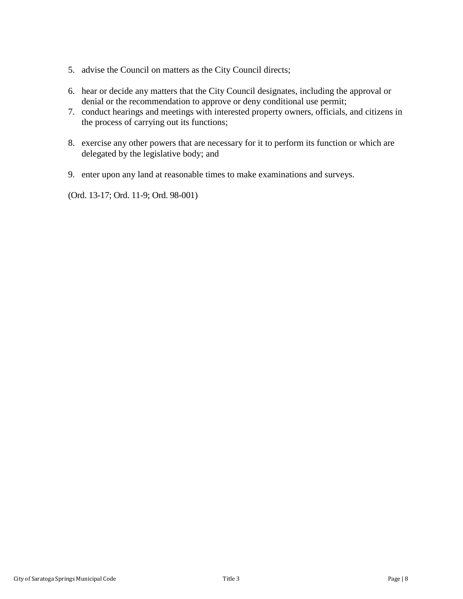- 5. advise the Council on matters as the City Council directs;
- 6. hear or decide any matters that the City Council designates, including the approval or denial or the recommendation to approve or deny conditional use permit;
- 7. conduct hearings and meetings with interested property owners, officials, and citizens in the process of carrying out its functions;
- 8. exercise any other powers that are necessary for it to perform its function or which are delegated by the legislative body; and
- 9. enter upon any land at reasonable times to make examinations and surveys.

(Ord. 13-17; Ord. 11-9; Ord. 98-001)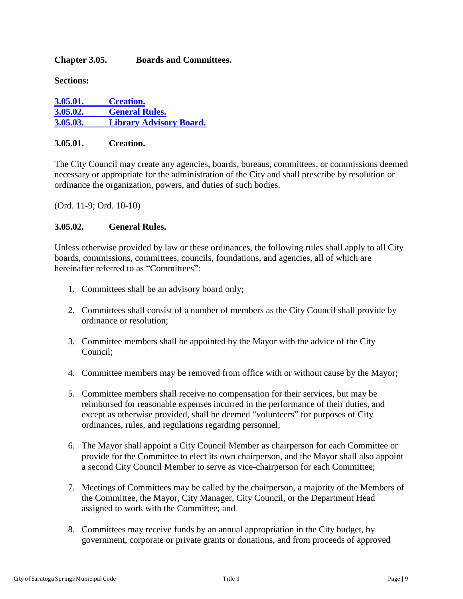## <span id="page-8-0"></span>**Chapter 3.05. Boards and Committees.**

**Sections:**

| 3.05.01. | <b>Creation.</b>               |
|----------|--------------------------------|
| 3.05.02. | <b>General Rules.</b>          |
| 3.05.03. | <b>Library Advisory Board.</b> |

### <span id="page-8-1"></span>**3.05.01. Creation.**

The City Council may create any agencies, boards, bureaus, committees, or commissions deemed necessary or appropriate for the administration of the City and shall prescribe by resolution or ordinance the organization, powers, and duties of such bodies.

(Ord. 11-9; Ord. 10-10)

## <span id="page-8-2"></span>**3.05.02. General Rules.**

Unless otherwise provided by law or these ordinances, the following rules shall apply to all City boards, commissions, committees, councils, foundations, and agencies, all of which are hereinafter referred to as "Committees":

- 1. Committees shall be an advisory board only;
- 2. Committees shall consist of a number of members as the City Council shall provide by ordinance or resolution;
- 3. Committee members shall be appointed by the Mayor with the advice of the City Council;
- 4. Committee members may be removed from office with or without cause by the Mayor;
- 5. Committee members shall receive no compensation for their services, but may be reimbursed for reasonable expenses incurred in the performance of their duties, and except as otherwise provided, shall be deemed "volunteers" for purposes of City ordinances, rules, and regulations regarding personnel;
- 6. The Mayor shall appoint a City Council Member as chairperson for each Committee or provide for the Committee to elect its own chairperson, and the Mayor shall also appoint a second City Council Member to serve as vice-chairperson for each Committee;
- 7. Meetings of Committees may be called by the chairperson, a majority of the Members of the Committee, the Mayor, City Manager, City Council, or the Department Head assigned to work with the Committee; and
- 8. Committees may receive funds by an annual appropriation in the City budget, by government, corporate or private grants or donations, and from proceeds of approved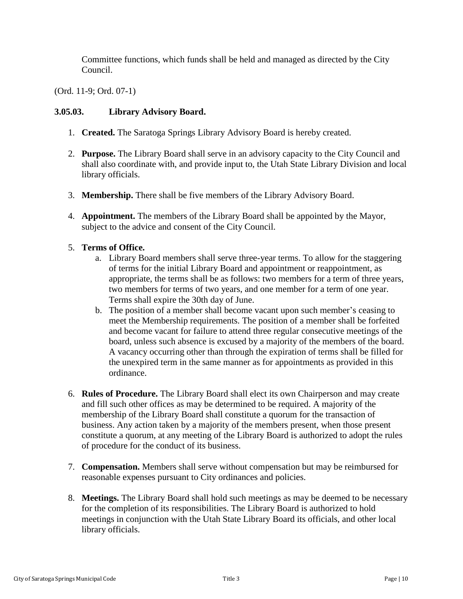Committee functions, which funds shall be held and managed as directed by the City Council.

(Ord. 11-9; Ord. 07-1)

## <span id="page-9-0"></span>**3.05.03. Library Advisory Board.**

- 1. **Created.** The Saratoga Springs Library Advisory Board is hereby created.
- 2. **Purpose.** The Library Board shall serve in an advisory capacity to the City Council and shall also coordinate with, and provide input to, the Utah State Library Division and local library officials.
- 3. **Membership.** There shall be five members of the Library Advisory Board.
- 4. **Appointment.** The members of the Library Board shall be appointed by the Mayor, subject to the advice and consent of the City Council.

## 5. **Terms of Office.**

- a. Library Board members shall serve three-year terms. To allow for the staggering of terms for the initial Library Board and appointment or reappointment, as appropriate, the terms shall be as follows: two members for a term of three years, two members for terms of two years, and one member for a term of one year. Terms shall expire the 30th day of June.
- b. The position of a member shall become vacant upon such member's ceasing to meet the Membership requirements. The position of a member shall be forfeited and become vacant for failure to attend three regular consecutive meetings of the board, unless such absence is excused by a majority of the members of the board. A vacancy occurring other than through the expiration of terms shall be filled for the unexpired term in the same manner as for appointments as provided in this ordinance.
- 6. **Rules of Procedure.** The Library Board shall elect its own Chairperson and may create and fill such other offices as may be determined to be required. A majority of the membership of the Library Board shall constitute a quorum for the transaction of business. Any action taken by a majority of the members present, when those present constitute a quorum, at any meeting of the Library Board is authorized to adopt the rules of procedure for the conduct of its business.
- 7. **Compensation.** Members shall serve without compensation but may be reimbursed for reasonable expenses pursuant to City ordinances and policies.
- 8. **Meetings.** The Library Board shall hold such meetings as may be deemed to be necessary for the completion of its responsibilities. The Library Board is authorized to hold meetings in conjunction with the Utah State Library Board its officials, and other local library officials.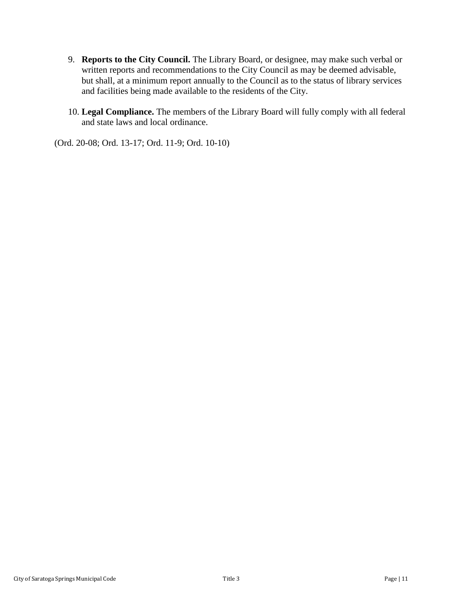- 9. **Reports to the City Council.** The Library Board, or designee, may make such verbal or written reports and recommendations to the City Council as may be deemed advisable, but shall, at a minimum report annually to the Council as to the status of library services and facilities being made available to the residents of the City.
- 10. **Legal Compliance.** The members of the Library Board will fully comply with all federal and state laws and local ordinance.

<span id="page-10-0"></span>(Ord. 20-08; Ord. 13-17; Ord. 11-9; Ord. 10-10)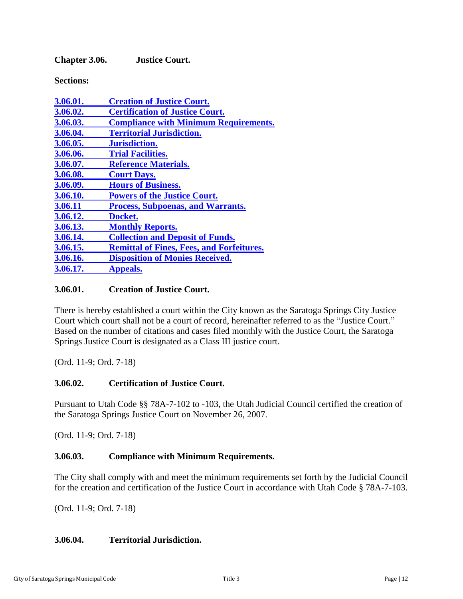**Chapter 3.06. Justice Court.** 

**Sections:**

| 3.06.01. | <b>Creation of Justice Court.</b>                |
|----------|--------------------------------------------------|
| 3.06.02. | <b>Certification of Justice Court.</b>           |
| 3.06.03. | <b>Compliance with Minimum Requirements.</b>     |
| 3.06.04. | <b>Territorial Jurisdiction.</b>                 |
| 3.06.05. | Jurisdiction.                                    |
| 3.06.06. | <b>Trial Facilities.</b>                         |
| 3.06.07. | <b>Reference Materials.</b>                      |
| 3.06.08. | <b>Court Days.</b>                               |
| 3.06.09. | <b>Hours of Business.</b>                        |
| 3.06.10. | <b>Powers of the Justice Court.</b>              |
| 3.06.11  | <b>Process, Subpoenas, and Warrants.</b>         |
| 3.06.12. | Docket.                                          |
| 3.06.13. | <b>Monthly Reports.</b>                          |
| 3.06.14. | <b>Collection and Deposit of Funds.</b>          |
| 3.06.15. | <b>Remittal of Fines, Fees, and Forfeitures.</b> |
| 3.06.16. | <b>Disposition of Monies Received.</b>           |
| 3.06.17. | <b>Appeals.</b>                                  |

## <span id="page-11-0"></span>**3.06.01. Creation of Justice Court.**

There is hereby established a court within the City known as the Saratoga Springs City Justice Court which court shall not be a court of record, hereinafter referred to as the "Justice Court." Based on the number of citations and cases filed monthly with the Justice Court, the Saratoga Springs Justice Court is designated as a Class III justice court.

(Ord. 11-9; Ord. 7-18)

## <span id="page-11-1"></span>**3.06.02. Certification of Justice Court.**

Pursuant to Utah Code §§ 78A-7-102 to -103, the Utah Judicial Council certified the creation of the Saratoga Springs Justice Court on November 26, 2007.

(Ord. 11-9; Ord. 7-18)

### <span id="page-11-2"></span>**3.06.03. Compliance with Minimum Requirements.**

The City shall comply with and meet the minimum requirements set forth by the Judicial Council for the creation and certification of the Justice Court in accordance with Utah Code § 78A-7-103.

(Ord. 11-9; Ord. 7-18)

### <span id="page-11-3"></span>**3.06.04. Territorial Jurisdiction.**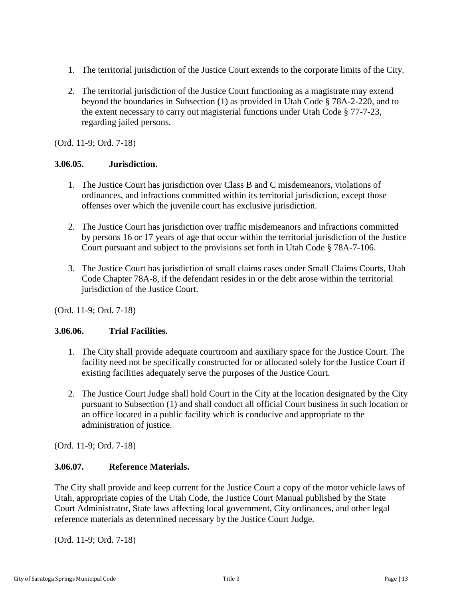- 1. The territorial jurisdiction of the Justice Court extends to the corporate limits of the City.
- 2. The territorial jurisdiction of the Justice Court functioning as a magistrate may extend beyond the boundaries in Subsection (1) as provided in Utah Code § 78A-2-220, and to the extent necessary to carry out magisterial functions under Utah Code § 77-7-23, regarding jailed persons.

(Ord. 11-9; Ord. 7-18)

#### <span id="page-12-0"></span>**3.06.05. Jurisdiction.**

- 1. The Justice Court has jurisdiction over Class B and C misdemeanors, violations of ordinances, and infractions committed within its territorial jurisdiction, except those offenses over which the juvenile court has exclusive jurisdiction.
- 2. The Justice Court has jurisdiction over traffic misdemeanors and infractions committed by persons 16 or 17 years of age that occur within the territorial jurisdiction of the Justice Court pursuant and subject to the provisions set forth in Utah Code § 78A-7-106.
- 3. The Justice Court has jurisdiction of small claims cases under Small Claims Courts, Utah Code Chapter 78A-8, if the defendant resides in or the debt arose within the territorial jurisdiction of the Justice Court.

(Ord. 11-9; Ord. 7-18)

### <span id="page-12-1"></span>**3.06.06. Trial Facilities.**

- 1. The City shall provide adequate courtroom and auxiliary space for the Justice Court. The facility need not be specifically constructed for or allocated solely for the Justice Court if existing facilities adequately serve the purposes of the Justice Court.
- 2. The Justice Court Judge shall hold Court in the City at the location designated by the City pursuant to Subsection (1) and shall conduct all official Court business in such location or an office located in a public facility which is conducive and appropriate to the administration of justice.

<span id="page-12-2"></span>(Ord. 11-9; Ord. 7-18)

### **3.06.07. Reference Materials.**

The City shall provide and keep current for the Justice Court a copy of the motor vehicle laws of Utah, appropriate copies of the Utah Code, the Justice Court Manual published by the State Court Administrator, State laws affecting local government, City ordinances, and other legal reference materials as determined necessary by the Justice Court Judge.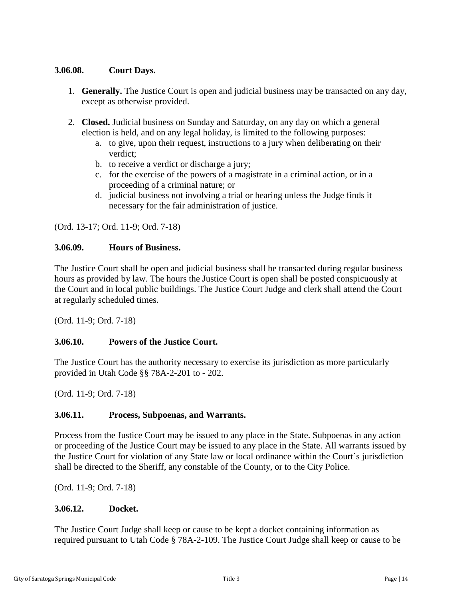## <span id="page-13-0"></span>**3.06.08. Court Days.**

- 1. **Generally.** The Justice Court is open and judicial business may be transacted on any day, except as otherwise provided.
- 2. **Closed.** Judicial business on Sunday and Saturday, on any day on which a general election is held, and on any legal holiday, is limited to the following purposes:
	- a. to give, upon their request, instructions to a jury when deliberating on their verdict;
	- b. to receive a verdict or discharge a jury;
	- c. for the exercise of the powers of a magistrate in a criminal action, or in a proceeding of a criminal nature; or
	- d. judicial business not involving a trial or hearing unless the Judge finds it necessary for the fair administration of justice.

(Ord. 13-17; Ord. 11-9; Ord. 7-18)

### <span id="page-13-1"></span>**3.06.09. Hours of Business.**

The Justice Court shall be open and judicial business shall be transacted during regular business hours as provided by law. The hours the Justice Court is open shall be posted conspicuously at the Court and in local public buildings. The Justice Court Judge and clerk shall attend the Court at regularly scheduled times.

(Ord. 11-9; Ord. 7-18)

### <span id="page-13-2"></span>**3.06.10. Powers of the Justice Court.**

The Justice Court has the authority necessary to exercise its jurisdiction as more particularly provided in Utah Code §§ 78A-2-201 to - 202.

(Ord. 11-9; Ord. 7-18)

## <span id="page-13-3"></span>**3.06.11. Process, Subpoenas, and Warrants.**

Process from the Justice Court may be issued to any place in the State. Subpoenas in any action or proceeding of the Justice Court may be issued to any place in the State. All warrants issued by the Justice Court for violation of any State law or local ordinance within the Court's jurisdiction shall be directed to the Sheriff, any constable of the County, or to the City Police.

(Ord. 11-9; Ord. 7-18)

## <span id="page-13-4"></span>**3.06.12. Docket.**

The Justice Court Judge shall keep or cause to be kept a docket containing information as required pursuant to Utah Code § 78A-2-109. The Justice Court Judge shall keep or cause to be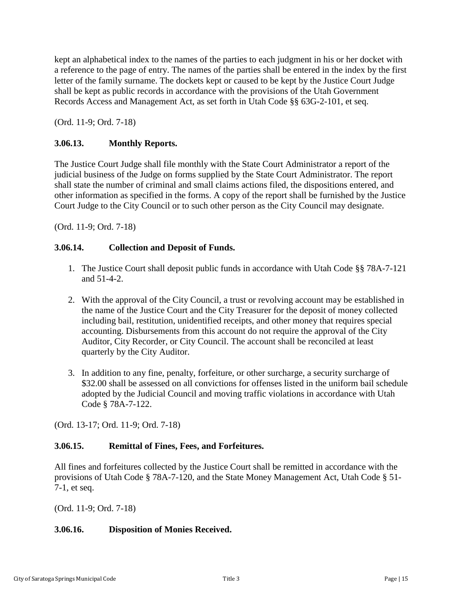kept an alphabetical index to the names of the parties to each judgment in his or her docket with a reference to the page of entry. The names of the parties shall be entered in the index by the first letter of the family surname. The dockets kept or caused to be kept by the Justice Court Judge shall be kept as public records in accordance with the provisions of the Utah Government Records Access and Management Act, as set forth in Utah Code §§ 63G-2-101, et seq.

(Ord. 11-9; Ord. 7-18)

## <span id="page-14-0"></span>**3.06.13. Monthly Reports.**

The Justice Court Judge shall file monthly with the State Court Administrator a report of the judicial business of the Judge on forms supplied by the State Court Administrator. The report shall state the number of criminal and small claims actions filed, the dispositions entered, and other information as specified in the forms. A copy of the report shall be furnished by the Justice Court Judge to the City Council or to such other person as the City Council may designate.

(Ord. 11-9; Ord. 7-18)

### <span id="page-14-1"></span>**3.06.14. Collection and Deposit of Funds.**

- 1. The Justice Court shall deposit public funds in accordance with Utah Code §§ 78A-7-121 and 51-4-2.
- 2. With the approval of the City Council, a trust or revolving account may be established in the name of the Justice Court and the City Treasurer for the deposit of money collected including bail, restitution, unidentified receipts, and other money that requires special accounting. Disbursements from this account do not require the approval of the City Auditor, City Recorder, or City Council. The account shall be reconciled at least quarterly by the City Auditor.
- 3. In addition to any fine, penalty, forfeiture, or other surcharge, a security surcharge of \$32.00 shall be assessed on all convictions for offenses listed in the uniform bail schedule adopted by the Judicial Council and moving traffic violations in accordance with Utah Code § 78A-7-122.

(Ord. 13-17; Ord. 11-9; Ord. 7-18)

## <span id="page-14-2"></span>**3.06.15. Remittal of Fines, Fees, and Forfeitures.**

All fines and forfeitures collected by the Justice Court shall be remitted in accordance with the provisions of Utah Code § 78A-7-120, and the State Money Management Act, Utah Code § 51- 7-1, et seq.

(Ord. 11-9; Ord. 7-18)

#### <span id="page-14-3"></span>**3.06.16. Disposition of Monies Received.**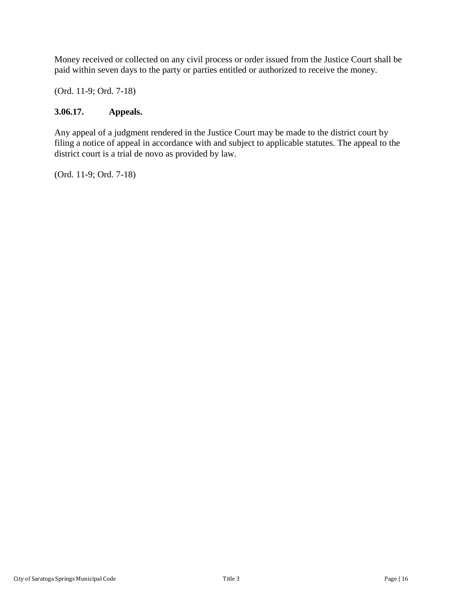Money received or collected on any civil process or order issued from the Justice Court shall be paid within seven days to the party or parties entitled or authorized to receive the money.

(Ord. 11-9; Ord. 7-18)

## <span id="page-15-1"></span>**3.06.17. Appeals.**

<span id="page-15-0"></span>Any appeal of a judgment rendered in the Justice Court may be made to the district court by filing a notice of appeal in accordance with and subject to applicable statutes. The appeal to the district court is a trial de novo as provided by law.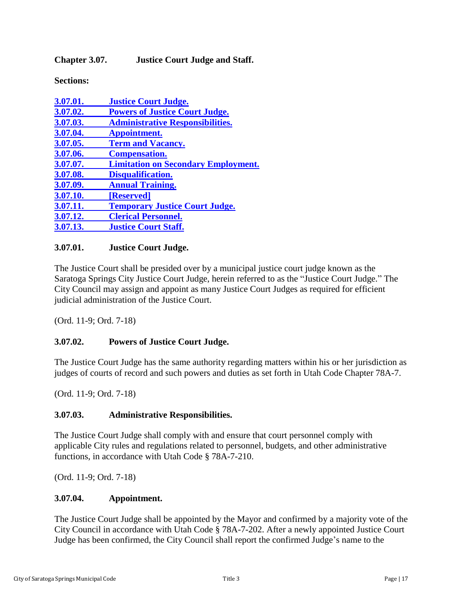**Chapter 3.07. Justice Court Judge and Staff.**

**Sections:**

| 3.07.01. | <b>Justice Court Judge.</b>                |
|----------|--------------------------------------------|
| 3.07.02. | <b>Powers of Justice Court Judge.</b>      |
| 3.07.03. | <b>Administrative Responsibilities.</b>    |
| 3.07.04. | Appointment.                               |
| 3.07.05. | <b>Term and Vacancy.</b>                   |
| 3.07.06. | <b>Compensation.</b>                       |
| 3.07.07. | <b>Limitation on Secondary Employment.</b> |
| 3.07.08. | Disqualification.                          |
| 3.07.09. | <b>Annual Training.</b>                    |
| 3.07.10. | [Reserved]                                 |
| 3.07.11. | <b>Temporary Justice Court Judge.</b>      |
| 3.07.12. | <b>Clerical Personnel.</b>                 |
| 3.07.13. | <b>Justice Court Staff.</b>                |
|          |                                            |

## <span id="page-16-0"></span>**3.07.01. Justice Court Judge.**

The Justice Court shall be presided over by a municipal justice court judge known as the Saratoga Springs City Justice Court Judge, herein referred to as the "Justice Court Judge." The City Council may assign and appoint as many Justice Court Judges as required for efficient judicial administration of the Justice Court.

(Ord. 11-9; Ord. 7-18)

### <span id="page-16-1"></span>**3.07.02. Powers of Justice Court Judge.**

The Justice Court Judge has the same authority regarding matters within his or her jurisdiction as judges of courts of record and such powers and duties as set forth in Utah Code Chapter 78A-7.

(Ord. 11-9; Ord. 7-18)

### <span id="page-16-2"></span>**3.07.03. Administrative Responsibilities.**

The Justice Court Judge shall comply with and ensure that court personnel comply with applicable City rules and regulations related to personnel, budgets, and other administrative functions, in accordance with Utah Code § 78A-7-210.

(Ord. 11-9; Ord. 7-18)

### <span id="page-16-3"></span>**3.07.04. Appointment.**

The Justice Court Judge shall be appointed by the Mayor and confirmed by a majority vote of the City Council in accordance with Utah Code § 78A-7-202. After a newly appointed Justice Court Judge has been confirmed, the City Council shall report the confirmed Judge's name to the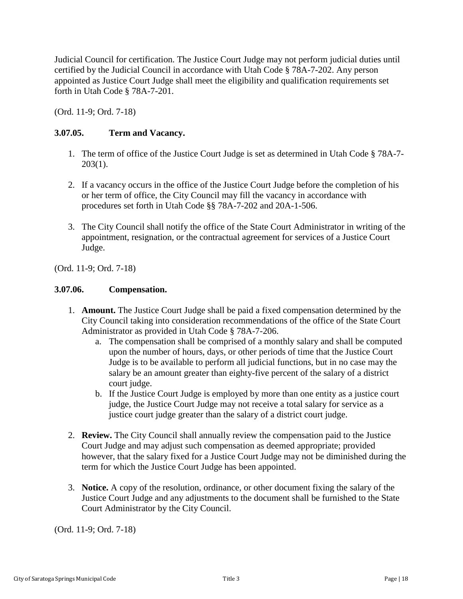Judicial Council for certification. The Justice Court Judge may not perform judicial duties until certified by the Judicial Council in accordance with Utah Code § 78A-7-202. Any person appointed as Justice Court Judge shall meet the eligibility and qualification requirements set forth in Utah Code § 78A-7-201.

(Ord. 11-9; Ord. 7-18)

## <span id="page-17-0"></span>**3.07.05. Term and Vacancy.**

- 1. The term of office of the Justice Court Judge is set as determined in Utah Code § 78A-7-  $203(1)$ .
- 2. If a vacancy occurs in the office of the Justice Court Judge before the completion of his or her term of office, the City Council may fill the vacancy in accordance with procedures set forth in Utah Code §§ 78A-7-202 and 20A-1-506.
- 3. The City Council shall notify the office of the State Court Administrator in writing of the appointment, resignation, or the contractual agreement for services of a Justice Court Judge.

<span id="page-17-1"></span>(Ord. 11-9; Ord. 7-18)

#### **3.07.06. Compensation.**

- 1. **Amount.** The Justice Court Judge shall be paid a fixed compensation determined by the City Council taking into consideration recommendations of the office of the State Court Administrator as provided in Utah Code § 78A-7-206.
	- a. The compensation shall be comprised of a monthly salary and shall be computed upon the number of hours, days, or other periods of time that the Justice Court Judge is to be available to perform all judicial functions, but in no case may the salary be an amount greater than eighty-five percent of the salary of a district court judge.
	- b. If the Justice Court Judge is employed by more than one entity as a justice court judge, the Justice Court Judge may not receive a total salary for service as a justice court judge greater than the salary of a district court judge.
- 2. **Review.** The City Council shall annually review the compensation paid to the Justice Court Judge and may adjust such compensation as deemed appropriate; provided however, that the salary fixed for a Justice Court Judge may not be diminished during the term for which the Justice Court Judge has been appointed.
- 3. **Notice.** A copy of the resolution, ordinance, or other document fixing the salary of the Justice Court Judge and any adjustments to the document shall be furnished to the State Court Administrator by the City Council.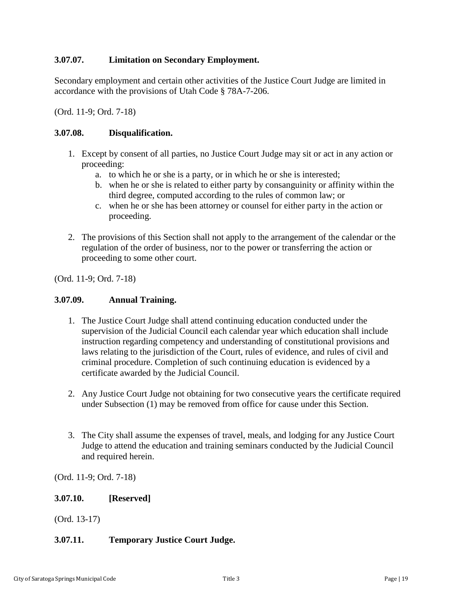## <span id="page-18-0"></span>**3.07.07. Limitation on Secondary Employment.**

Secondary employment and certain other activities of the Justice Court Judge are limited in accordance with the provisions of Utah Code § 78A-7-206.

(Ord. 11-9; Ord. 7-18)

## <span id="page-18-1"></span>**3.07.08. Disqualification.**

- 1. Except by consent of all parties, no Justice Court Judge may sit or act in any action or proceeding:
	- a. to which he or she is a party, or in which he or she is interested;
	- b. when he or she is related to either party by consanguinity or affinity within the third degree, computed according to the rules of common law; or
	- c. when he or she has been attorney or counsel for either party in the action or proceeding.
- 2. The provisions of this Section shall not apply to the arrangement of the calendar or the regulation of the order of business, nor to the power or transferring the action or proceeding to some other court.

(Ord. 11-9; Ord. 7-18)

### <span id="page-18-2"></span>**3.07.09. Annual Training.**

- 1. The Justice Court Judge shall attend continuing education conducted under the supervision of the Judicial Council each calendar year which education shall include instruction regarding competency and understanding of constitutional provisions and laws relating to the jurisdiction of the Court, rules of evidence, and rules of civil and criminal procedure. Completion of such continuing education is evidenced by a certificate awarded by the Judicial Council.
- 2. Any Justice Court Judge not obtaining for two consecutive years the certificate required under Subsection (1) may be removed from office for cause under this Section.
- 3. The City shall assume the expenses of travel, meals, and lodging for any Justice Court Judge to attend the education and training seminars conducted by the Judicial Council and required herein.

(Ord. 11-9; Ord. 7-18)

### <span id="page-18-3"></span>**3.07.10. [Reserved]**

(Ord. 13-17)

## <span id="page-18-4"></span>**3.07.11. Temporary Justice Court Judge.**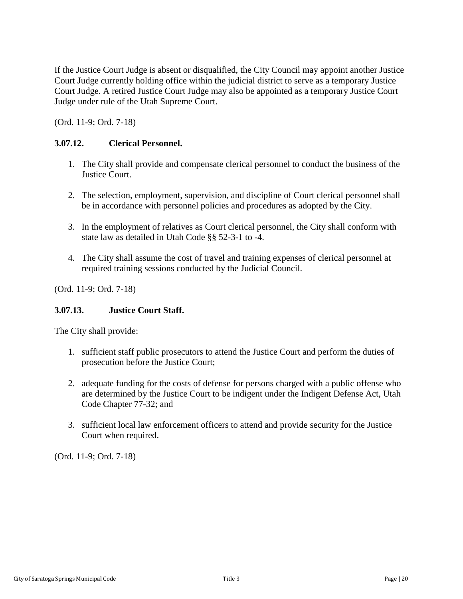If the Justice Court Judge is absent or disqualified, the City Council may appoint another Justice Court Judge currently holding office within the judicial district to serve as a temporary Justice Court Judge. A retired Justice Court Judge may also be appointed as a temporary Justice Court Judge under rule of the Utah Supreme Court.

(Ord. 11-9; Ord. 7-18)

## <span id="page-19-1"></span>**3.07.12. Clerical Personnel.**

- 1. The City shall provide and compensate clerical personnel to conduct the business of the Justice Court.
- 2. The selection, employment, supervision, and discipline of Court clerical personnel shall be in accordance with personnel policies and procedures as adopted by the City.
- 3. In the employment of relatives as Court clerical personnel, the City shall conform with state law as detailed in Utah Code §§ 52-3-1 to -4.
- 4. The City shall assume the cost of travel and training expenses of clerical personnel at required training sessions conducted by the Judicial Council.

(Ord. 11-9; Ord. 7-18)

### <span id="page-19-2"></span>**3.07.13. Justice Court Staff.**

The City shall provide:

- 1. sufficient staff public prosecutors to attend the Justice Court and perform the duties of prosecution before the Justice Court;
- 2. adequate funding for the costs of defense for persons charged with a public offense who are determined by the Justice Court to be indigent under the Indigent Defense Act, Utah Code Chapter 77-32; and
- <span id="page-19-0"></span>3. sufficient local law enforcement officers to attend and provide security for the Justice Court when required.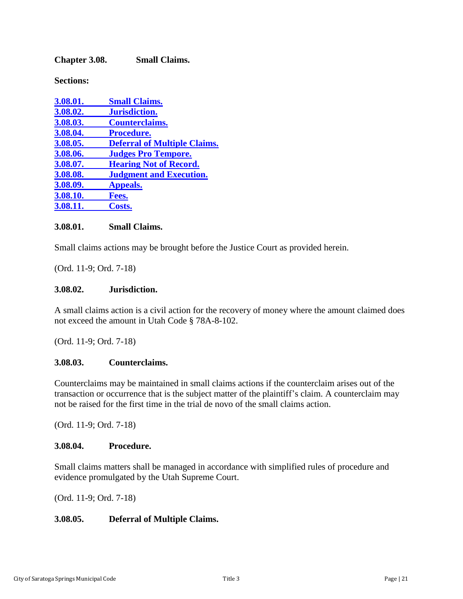**Chapter 3.08. Small Claims.**

**Sections:**

| 3.08.01. | <b>Small Claims.</b>                |
|----------|-------------------------------------|
| 3.08.02. | Jurisdiction.                       |
| 3.08.03. | <b>Counterclaims.</b>               |
| 3.08.04. | Procedure.                          |
| 3.08.05. | <b>Deferral of Multiple Claims.</b> |
| 3.08.06. | <b>Judges Pro Tempore.</b>          |
| 3.08.07. | <b>Hearing Not of Record.</b>       |
| 3.08.08. | <b>Judgment and Execution.</b>      |
| 3.08.09. | <b>Appeals.</b>                     |
| 3.08.10. | Fees.                               |
| 3.08.11. | Costs.                              |

### <span id="page-20-0"></span>**3.08.01. Small Claims.**

Small claims actions may be brought before the Justice Court as provided herein.

(Ord. 11-9; Ord. 7-18)

#### <span id="page-20-1"></span>**3.08.02. Jurisdiction.**

A small claims action is a civil action for the recovery of money where the amount claimed does not exceed the amount in Utah Code § 78A-8-102.

(Ord. 11-9; Ord. 7-18)

### <span id="page-20-2"></span>**3.08.03. Counterclaims.**

Counterclaims may be maintained in small claims actions if the counterclaim arises out of the transaction or occurrence that is the subject matter of the plaintiff's claim. A counterclaim may not be raised for the first time in the trial de novo of the small claims action.

(Ord. 11-9; Ord. 7-18)

#### <span id="page-20-3"></span>**3.08.04. Procedure.**

Small claims matters shall be managed in accordance with simplified rules of procedure and evidence promulgated by the Utah Supreme Court.

(Ord. 11-9; Ord. 7-18)

### <span id="page-20-4"></span>**3.08.05. Deferral of Multiple Claims.**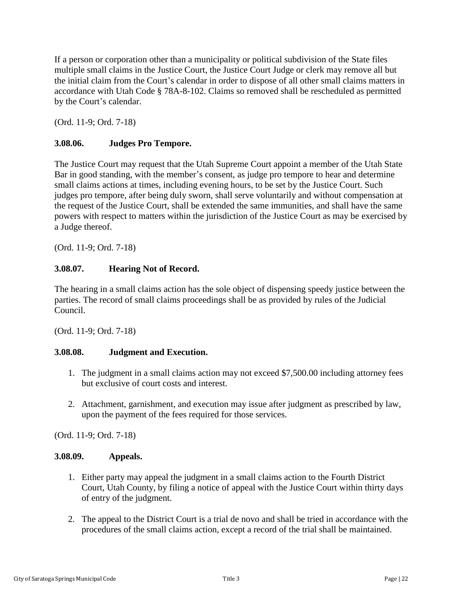If a person or corporation other than a municipality or political subdivision of the State files multiple small claims in the Justice Court, the Justice Court Judge or clerk may remove all but the initial claim from the Court's calendar in order to dispose of all other small claims matters in accordance with Utah Code § 78A-8-102. Claims so removed shall be rescheduled as permitted by the Court's calendar.

(Ord. 11-9; Ord. 7-18)

## <span id="page-21-0"></span>**3.08.06. Judges Pro Tempore.**

The Justice Court may request that the Utah Supreme Court appoint a member of the Utah State Bar in good standing, with the member's consent, as judge pro tempore to hear and determine small claims actions at times, including evening hours, to be set by the Justice Court. Such judges pro tempore, after being duly sworn, shall serve voluntarily and without compensation at the request of the Justice Court, shall be extended the same immunities, and shall have the same powers with respect to matters within the jurisdiction of the Justice Court as may be exercised by a Judge thereof.

(Ord. 11-9; Ord. 7-18)

## <span id="page-21-1"></span>**3.08.07. Hearing Not of Record.**

The hearing in a small claims action has the sole object of dispensing speedy justice between the parties. The record of small claims proceedings shall be as provided by rules of the Judicial Council.

(Ord. 11-9; Ord. 7-18)

### <span id="page-21-2"></span>**3.08.08. Judgment and Execution.**

- 1. The judgment in a small claims action may not exceed \$7,500.00 including attorney fees but exclusive of court costs and interest.
- 2. Attachment, garnishment, and execution may issue after judgment as prescribed by law, upon the payment of the fees required for those services.

(Ord. 11-9; Ord. 7-18)

#### <span id="page-21-3"></span>**3.08.09. Appeals.**

- 1. Either party may appeal the judgment in a small claims action to the Fourth District Court, Utah County, by filing a notice of appeal with the Justice Court within thirty days of entry of the judgment.
- 2. The appeal to the District Court is a trial de novo and shall be tried in accordance with the procedures of the small claims action, except a record of the trial shall be maintained.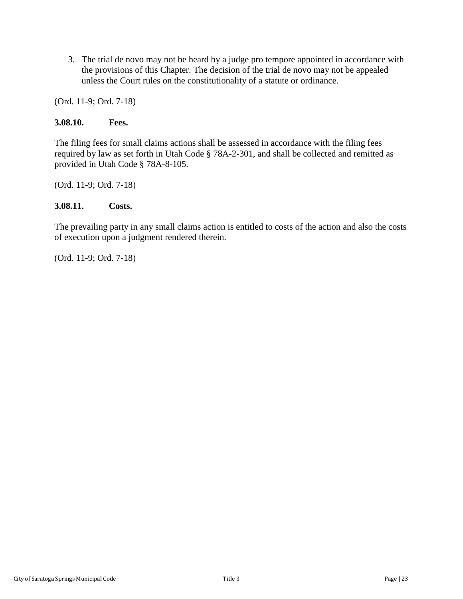3. The trial de novo may not be heard by a judge pro tempore appointed in accordance with the provisions of this Chapter. The decision of the trial de novo may not be appealed unless the Court rules on the constitutionality of a statute or ordinance.

(Ord. 11-9; Ord. 7-18)

### <span id="page-22-1"></span>**3.08.10. Fees.**

The filing fees for small claims actions shall be assessed in accordance with the filing fees required by law as set forth in Utah Code § 78A-2-301, and shall be collected and remitted as provided in Utah Code § 78A-8-105.

<span id="page-22-2"></span>(Ord. 11-9; Ord. 7-18)

### **3.08.11. Costs.**

<span id="page-22-0"></span>The prevailing party in any small claims action is entitled to costs of the action and also the costs of execution upon a judgment rendered therein.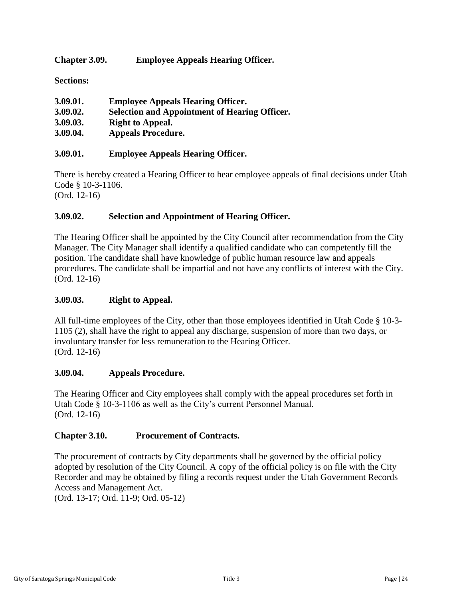<span id="page-23-0"></span>**Chapter 3.09. Employee Appeals Hearing Officer.**

**Sections:**

| 3.09.01. | <b>Employee Appeals Hearing Officer.</b>             |
|----------|------------------------------------------------------|
| 3.09.02. | <b>Selection and Appointment of Hearing Officer.</b> |
| 3.09.03. | <b>Right to Appeal.</b>                              |
| 3.09.04. | <b>Appeals Procedure.</b>                            |

## **3.09.01. Employee Appeals Hearing Officer.**

There is hereby created a Hearing Officer to hear employee appeals of final decisions under Utah Code § 10-3-1106. (Ord. 12-16)

## **3.09.02. Selection and Appointment of Hearing Officer.**

The Hearing Officer shall be appointed by the City Council after recommendation from the City Manager. The City Manager shall identify a qualified candidate who can competently fill the position. The candidate shall have knowledge of public human resource law and appeals procedures. The candidate shall be impartial and not have any conflicts of interest with the City. (Ord. 12-16)

### **3.09.03. Right to Appeal.**

All full-time employees of the City, other than those employees identified in Utah Code § 10-3- 1105 (2), shall have the right to appeal any discharge, suspension of more than two days, or involuntary transfer for less remuneration to the Hearing Officer. (Ord. 12-16)

#### **3.09.04. Appeals Procedure.**

The Hearing Officer and City employees shall comply with the appeal procedures set forth in Utah Code § 10-3-1106 as well as the City's current Personnel Manual. (Ord. 12-16)

### **Chapter 3.10. Procurement of Contracts.**

The procurement of contracts by City departments shall be governed by the official policy adopted by resolution of the City Council. A copy of the official policy is on file with the City Recorder and may be obtained by filing a records request under the Utah Government Records Access and Management Act.

<span id="page-23-1"></span>(Ord. 13-17; Ord. 11-9; Ord. 05-12)